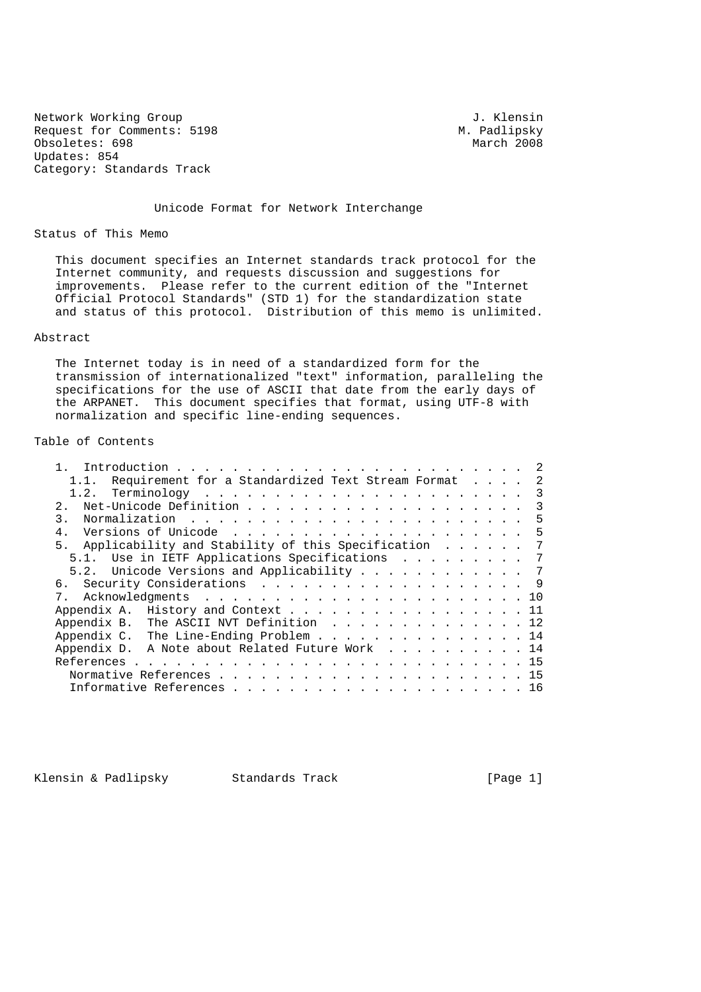Network Working Group<br>Request for Comments: 5198 M. Padlipsky Request for Comments: 5198 M. Padlipsky<br>
Obsoletes: 698 March 2008 Obsoletes: 698 Updates: 854 Category: Standards Track

Unicode Format for Network Interchange

Status of This Memo

 This document specifies an Internet standards track protocol for the Internet community, and requests discussion and suggestions for improvements. Please refer to the current edition of the "Internet Official Protocol Standards" (STD 1) for the standardization state and status of this protocol. Distribution of this memo is unlimited.

### Abstract

 The Internet today is in need of a standardized form for the transmission of internationalized "text" information, paralleling the specifications for the use of ASCII that date from the early days of the ARPANET. This document specifies that format, using UTF-8 with normalization and specific line-ending sequences.

### Table of Contents

| 1.1. Requirement for a Standardized Text Stream Format 2 |  |
|----------------------------------------------------------|--|
|                                                          |  |
| 2.1                                                      |  |
| 3.                                                       |  |
|                                                          |  |
| 5. Applicability and Stability of this Specification 7   |  |
| 5.1. Use in IETF Applications Specifications 7           |  |
| 5.2. Unicode Versions and Applicability 7                |  |
|                                                          |  |
|                                                          |  |
| Appendix A. History and Context 11                       |  |
| Appendix B. The ASCII NVT Definition 12                  |  |
| Appendix C. The Line-Ending Problem 14                   |  |
| Appendix D. A Note about Related Future Work 14          |  |
|                                                          |  |
|                                                          |  |
|                                                          |  |

Klensin & Padlipsky Standards Track [Page 1]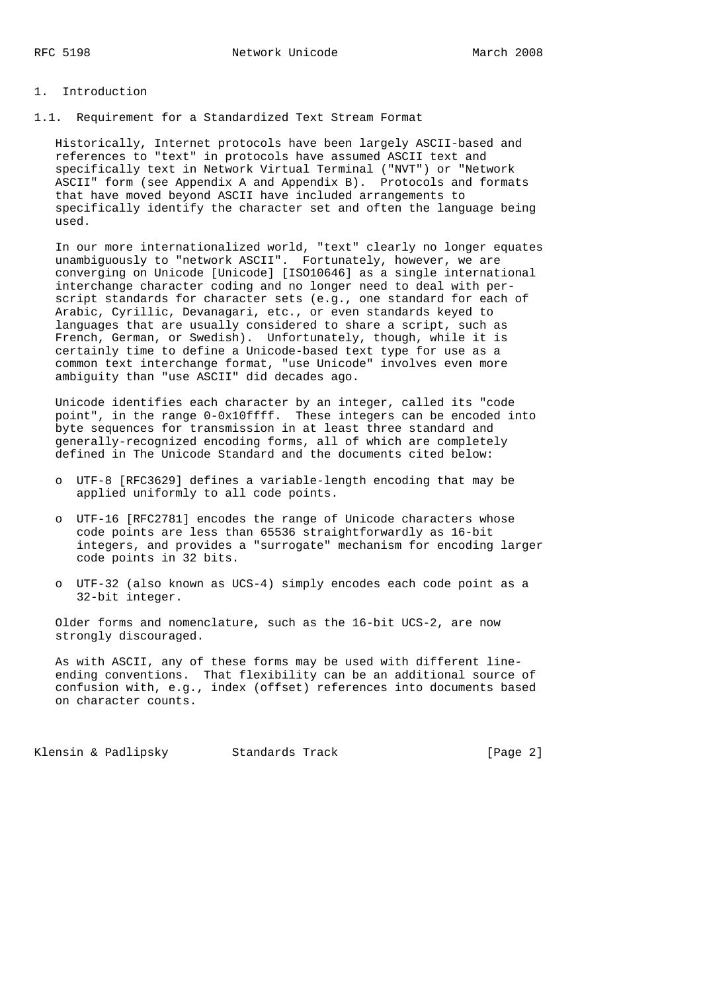### 1. Introduction

1.1. Requirement for a Standardized Text Stream Format

 Historically, Internet protocols have been largely ASCII-based and references to "text" in protocols have assumed ASCII text and specifically text in Network Virtual Terminal ("NVT") or "Network ASCII" form (see Appendix A and Appendix B). Protocols and formats that have moved beyond ASCII have included arrangements to specifically identify the character set and often the language being used.

 In our more internationalized world, "text" clearly no longer equates unambiguously to "network ASCII". Fortunately, however, we are converging on Unicode [Unicode] [ISO10646] as a single international interchange character coding and no longer need to deal with per script standards for character sets (e.g., one standard for each of Arabic, Cyrillic, Devanagari, etc., or even standards keyed to languages that are usually considered to share a script, such as French, German, or Swedish). Unfortunately, though, while it is certainly time to define a Unicode-based text type for use as a common text interchange format, "use Unicode" involves even more ambiguity than "use ASCII" did decades ago.

 Unicode identifies each character by an integer, called its "code point", in the range 0-0x10ffff. These integers can be encoded into byte sequences for transmission in at least three standard and generally-recognized encoding forms, all of which are completely defined in The Unicode Standard and the documents cited below:

- o UTF-8 [RFC3629] defines a variable-length encoding that may be applied uniformly to all code points.
- o UTF-16 [RFC2781] encodes the range of Unicode characters whose code points are less than 65536 straightforwardly as 16-bit integers, and provides a "surrogate" mechanism for encoding larger code points in 32 bits.
- o UTF-32 (also known as UCS-4) simply encodes each code point as a 32-bit integer.

 Older forms and nomenclature, such as the 16-bit UCS-2, are now strongly discouraged.

 As with ASCII, any of these forms may be used with different line ending conventions. That flexibility can be an additional source of confusion with, e.g., index (offset) references into documents based on character counts.

Klensin & Padlipsky Standards Track [Page 2]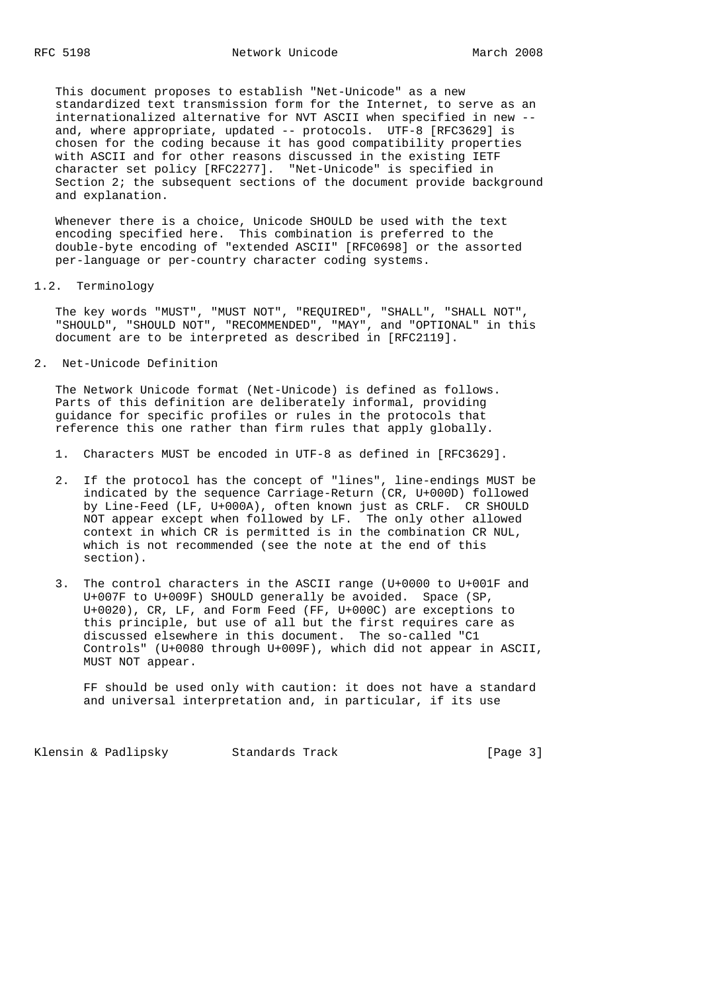This document proposes to establish "Net-Unicode" as a new standardized text transmission form for the Internet, to serve as an internationalized alternative for NVT ASCII when specified in new - and, where appropriate, updated -- protocols. UTF-8 [RFC3629] is chosen for the coding because it has good compatibility properties with ASCII and for other reasons discussed in the existing IETF character set policy [RFC2277]. "Net-Unicode" is specified in Section 2; the subsequent sections of the document provide background and explanation.

 Whenever there is a choice, Unicode SHOULD be used with the text encoding specified here. This combination is preferred to the double-byte encoding of "extended ASCII" [RFC0698] or the assorted per-language or per-country character coding systems.

### 1.2. Terminology

 The key words "MUST", "MUST NOT", "REQUIRED", "SHALL", "SHALL NOT", "SHOULD", "SHOULD NOT", "RECOMMENDED", "MAY", and "OPTIONAL" in this document are to be interpreted as described in [RFC2119].

2. Net-Unicode Definition

 The Network Unicode format (Net-Unicode) is defined as follows. Parts of this definition are deliberately informal, providing guidance for specific profiles or rules in the protocols that reference this one rather than firm rules that apply globally.

- 1. Characters MUST be encoded in UTF-8 as defined in [RFC3629].
- 2. If the protocol has the concept of "lines", line-endings MUST be indicated by the sequence Carriage-Return (CR, U+000D) followed by Line-Feed (LF, U+000A), often known just as CRLF. CR SHOULD NOT appear except when followed by LF. The only other allowed context in which CR is permitted is in the combination CR NUL, which is not recommended (see the note at the end of this section).
- 3. The control characters in the ASCII range (U+0000 to U+001F and U+007F to U+009F) SHOULD generally be avoided. Space (SP, U+0020), CR, LF, and Form Feed (FF, U+000C) are exceptions to this principle, but use of all but the first requires care as discussed elsewhere in this document. The so-called "C1 Controls" (U+0080 through U+009F), which did not appear in ASCII, MUST NOT appear.

 FF should be used only with caution: it does not have a standard and universal interpretation and, in particular, if its use

Klensin & Padlipsky Standards Track [Page 3]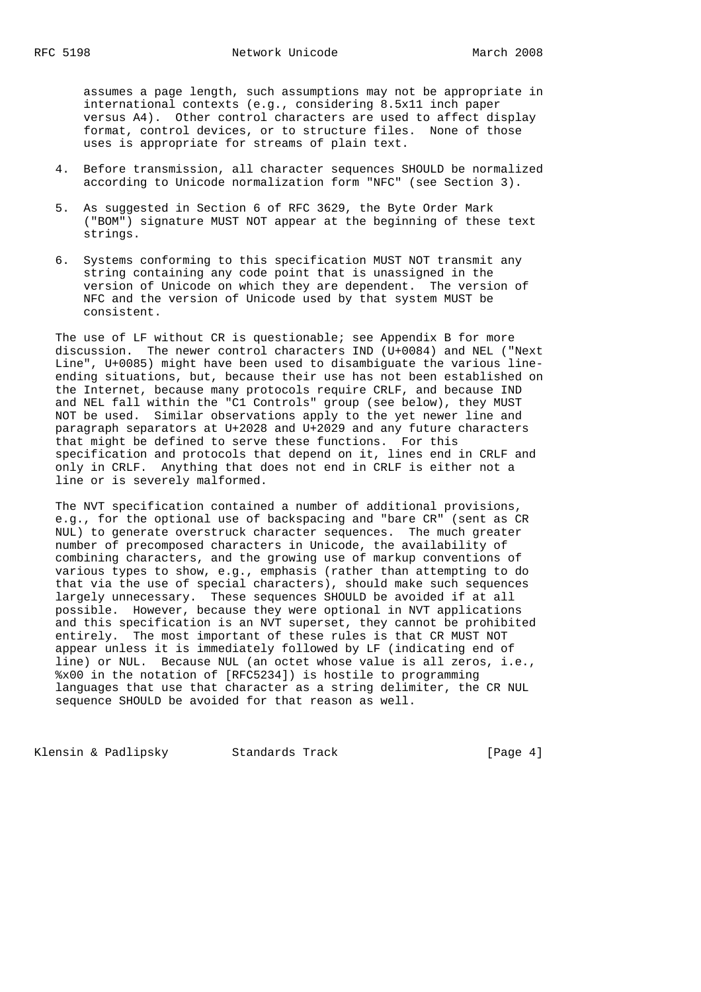assumes a page length, such assumptions may not be appropriate in international contexts (e.g., considering 8.5x11 inch paper versus A4). Other control characters are used to affect display format, control devices, or to structure files. None of those uses is appropriate for streams of plain text.

- 4. Before transmission, all character sequences SHOULD be normalized according to Unicode normalization form "NFC" (see Section 3).
- 5. As suggested in Section 6 of RFC 3629, the Byte Order Mark ("BOM") signature MUST NOT appear at the beginning of these text strings.
- 6. Systems conforming to this specification MUST NOT transmit any string containing any code point that is unassigned in the version of Unicode on which they are dependent. The version of NFC and the version of Unicode used by that system MUST be consistent.

The use of LF without CR is questionable; see Appendix B for more discussion. The newer control characters IND (U+0084) and NEL ("Next Line", U+0085) might have been used to disambiguate the various line ending situations, but, because their use has not been established on the Internet, because many protocols require CRLF, and because IND and NEL fall within the "C1 Controls" group (see below), they MUST NOT be used. Similar observations apply to the yet newer line and paragraph separators at U+2028 and U+2029 and any future characters that might be defined to serve these functions. For this specification and protocols that depend on it, lines end in CRLF and only in CRLF. Anything that does not end in CRLF is either not a line or is severely malformed.

 The NVT specification contained a number of additional provisions, e.g., for the optional use of backspacing and "bare CR" (sent as CR NUL) to generate overstruck character sequences. The much greater number of precomposed characters in Unicode, the availability of combining characters, and the growing use of markup conventions of various types to show, e.g., emphasis (rather than attempting to do that via the use of special characters), should make such sequences largely unnecessary. These sequences SHOULD be avoided if at all possible. However, because they were optional in NVT applications and this specification is an NVT superset, they cannot be prohibited entirely. The most important of these rules is that CR MUST NOT appear unless it is immediately followed by LF (indicating end of line) or NUL. Because NUL (an octet whose value is all zeros, i.e., %x00 in the notation of [RFC5234]) is hostile to programming languages that use that character as a string delimiter, the CR NUL sequence SHOULD be avoided for that reason as well.

Klensin & Padlipsky Standards Track [Page 4]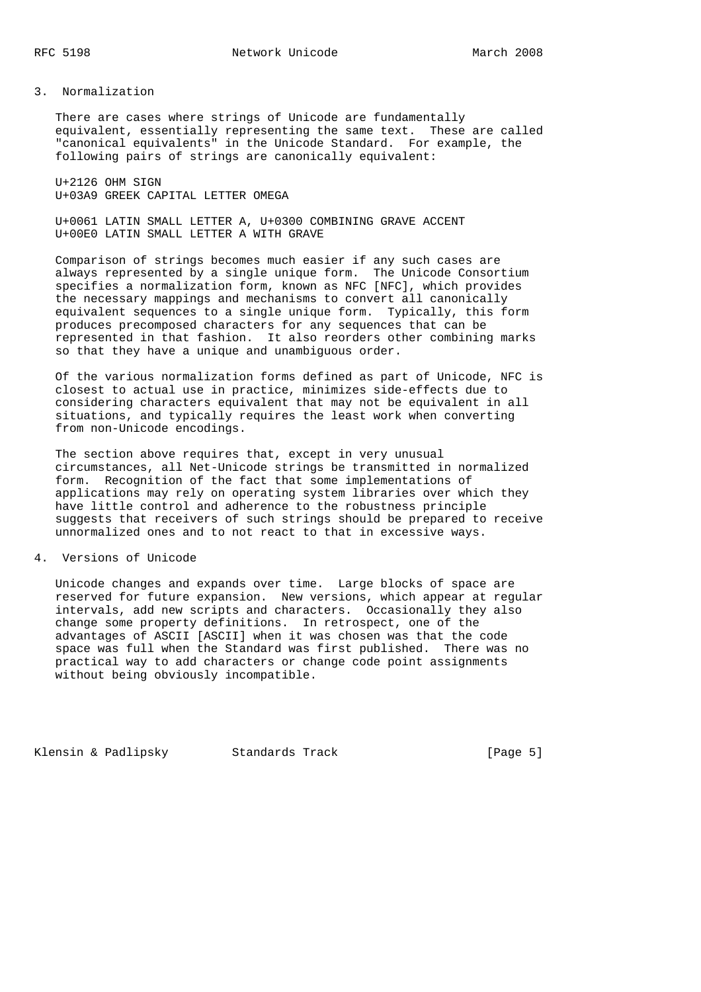3. Normalization

 There are cases where strings of Unicode are fundamentally equivalent, essentially representing the same text. These are called "canonical equivalents" in the Unicode Standard. For example, the following pairs of strings are canonically equivalent:

 U+2126 OHM SIGN U+03A9 GREEK CAPITAL LETTER OMEGA

 U+0061 LATIN SMALL LETTER A, U+0300 COMBINING GRAVE ACCENT U+00E0 LATIN SMALL LETTER A WITH GRAVE

 Comparison of strings becomes much easier if any such cases are always represented by a single unique form. The Unicode Consortium specifies a normalization form, known as NFC [NFC], which provides the necessary mappings and mechanisms to convert all canonically equivalent sequences to a single unique form. Typically, this form produces precomposed characters for any sequences that can be represented in that fashion. It also reorders other combining marks so that they have a unique and unambiguous order.

 Of the various normalization forms defined as part of Unicode, NFC is closest to actual use in practice, minimizes side-effects due to considering characters equivalent that may not be equivalent in all situations, and typically requires the least work when converting from non-Unicode encodings.

 The section above requires that, except in very unusual circumstances, all Net-Unicode strings be transmitted in normalized form. Recognition of the fact that some implementations of applications may rely on operating system libraries over which they have little control and adherence to the robustness principle suggests that receivers of such strings should be prepared to receive unnormalized ones and to not react to that in excessive ways.

4. Versions of Unicode

 Unicode changes and expands over time. Large blocks of space are reserved for future expansion. New versions, which appear at regular intervals, add new scripts and characters. Occasionally they also change some property definitions. In retrospect, one of the advantages of ASCII [ASCII] when it was chosen was that the code space was full when the Standard was first published. There was no practical way to add characters or change code point assignments without being obviously incompatible.

Klensin & Padlipsky Standards Track [Page 5]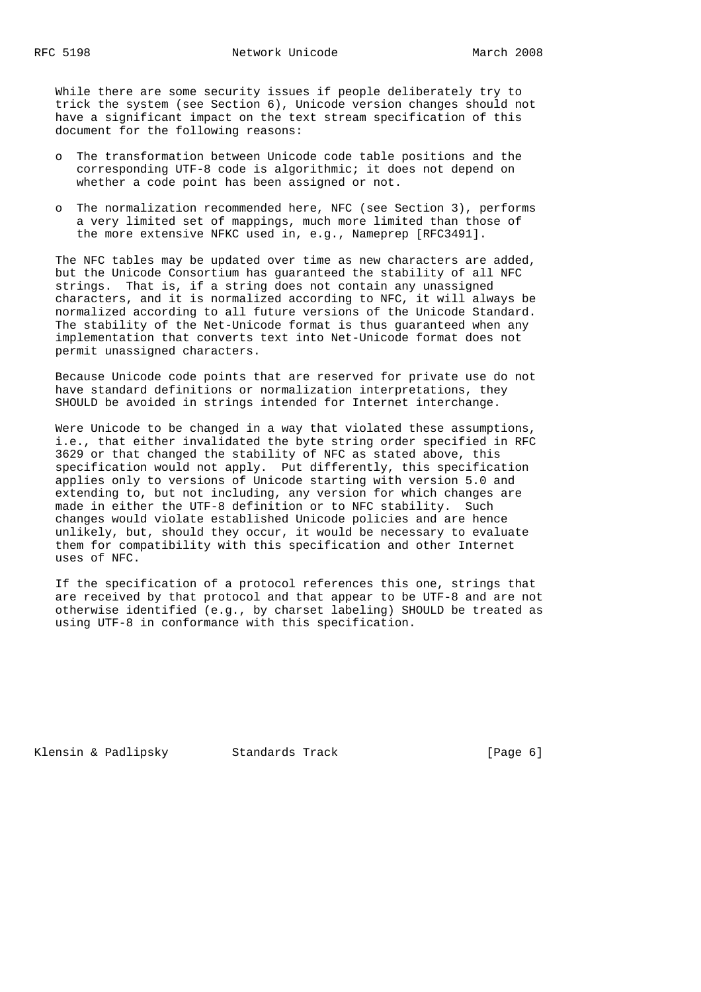While there are some security issues if people deliberately try to trick the system (see Section 6), Unicode version changes should not have a significant impact on the text stream specification of this document for the following reasons:

- o The transformation between Unicode code table positions and the corresponding UTF-8 code is algorithmic; it does not depend on whether a code point has been assigned or not.
- o The normalization recommended here, NFC (see Section 3), performs a very limited set of mappings, much more limited than those of the more extensive NFKC used in, e.g., Nameprep [RFC3491].

 The NFC tables may be updated over time as new characters are added, but the Unicode Consortium has guaranteed the stability of all NFC strings. That is, if a string does not contain any unassigned characters, and it is normalized according to NFC, it will always be normalized according to all future versions of the Unicode Standard. The stability of the Net-Unicode format is thus guaranteed when any implementation that converts text into Net-Unicode format does not permit unassigned characters.

 Because Unicode code points that are reserved for private use do not have standard definitions or normalization interpretations, they SHOULD be avoided in strings intended for Internet interchange.

 Were Unicode to be changed in a way that violated these assumptions, i.e., that either invalidated the byte string order specified in RFC 3629 or that changed the stability of NFC as stated above, this specification would not apply. Put differently, this specification applies only to versions of Unicode starting with version 5.0 and extending to, but not including, any version for which changes are made in either the UTF-8 definition or to NFC stability. Such changes would violate established Unicode policies and are hence unlikely, but, should they occur, it would be necessary to evaluate them for compatibility with this specification and other Internet uses of NFC.

 If the specification of a protocol references this one, strings that are received by that protocol and that appear to be UTF-8 and are not otherwise identified (e.g., by charset labeling) SHOULD be treated as using UTF-8 in conformance with this specification.

Klensin & Padlipsky Standards Track [Page 6]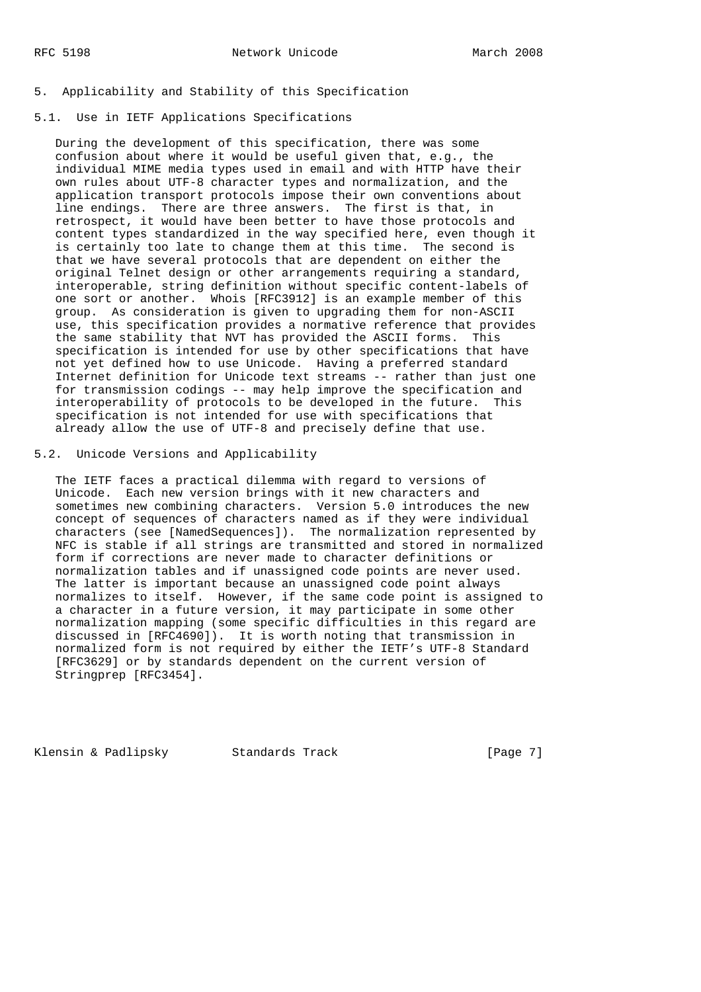### 5. Applicability and Stability of this Specification

### 5.1. Use in IETF Applications Specifications

 During the development of this specification, there was some confusion about where it would be useful given that, e.g., the individual MIME media types used in email and with HTTP have their own rules about UTF-8 character types and normalization, and the application transport protocols impose their own conventions about line endings. There are three answers. The first is that, in retrospect, it would have been better to have those protocols and content types standardized in the way specified here, even though it is certainly too late to change them at this time. The second is that we have several protocols that are dependent on either the original Telnet design or other arrangements requiring a standard, interoperable, string definition without specific content-labels of one sort or another. Whois [RFC3912] is an example member of this group. As consideration is given to upgrading them for non-ASCII use, this specification provides a normative reference that provides the same stability that NVT has provided the ASCII forms. This specification is intended for use by other specifications that have not yet defined how to use Unicode. Having a preferred standard Internet definition for Unicode text streams -- rather than just one for transmission codings -- may help improve the specification and interoperability of protocols to be developed in the future. This specification is not intended for use with specifications that already allow the use of UTF-8 and precisely define that use.

# 5.2. Unicode Versions and Applicability

 The IETF faces a practical dilemma with regard to versions of Unicode. Each new version brings with it new characters and sometimes new combining characters. Version 5.0 introduces the new concept of sequences of characters named as if they were individual characters (see [NamedSequences]). The normalization represented by NFC is stable if all strings are transmitted and stored in normalized form if corrections are never made to character definitions or normalization tables and if unassigned code points are never used. The latter is important because an unassigned code point always normalizes to itself. However, if the same code point is assigned to a character in a future version, it may participate in some other normalization mapping (some specific difficulties in this regard are discussed in [RFC4690]). It is worth noting that transmission in normalized form is not required by either the IETF's UTF-8 Standard [RFC3629] or by standards dependent on the current version of Stringprep [RFC3454].

Klensin & Padlipsky Standards Track [Page 7]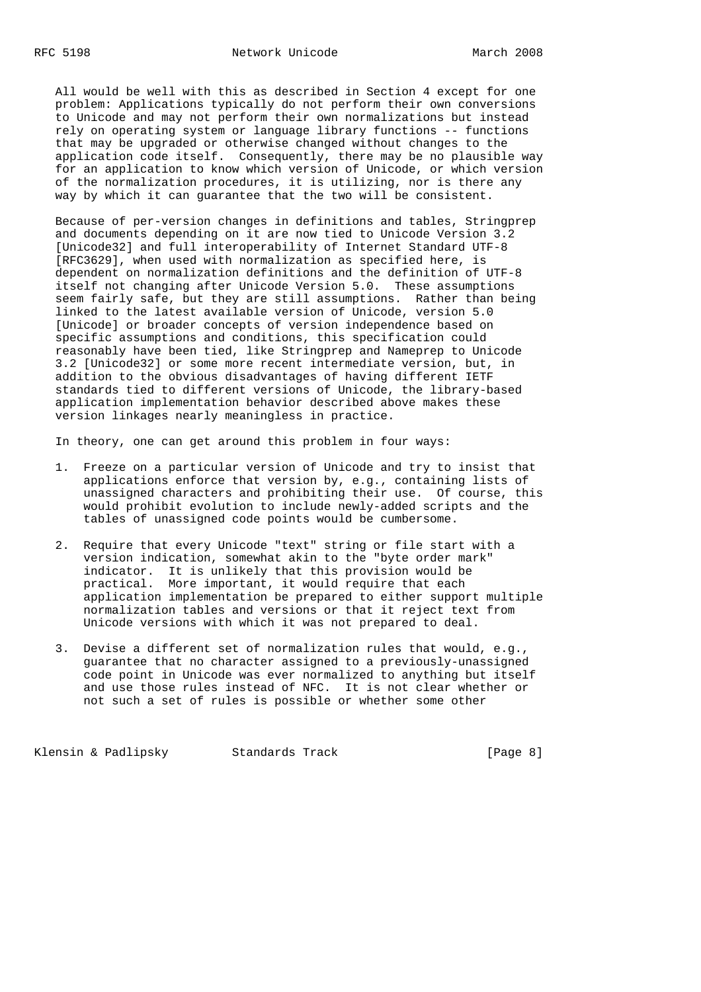All would be well with this as described in Section 4 except for one problem: Applications typically do not perform their own conversions to Unicode and may not perform their own normalizations but instead rely on operating system or language library functions -- functions that may be upgraded or otherwise changed without changes to the application code itself. Consequently, there may be no plausible way for an application to know which version of Unicode, or which version of the normalization procedures, it is utilizing, nor is there any way by which it can guarantee that the two will be consistent.

 Because of per-version changes in definitions and tables, Stringprep and documents depending on it are now tied to Unicode Version 3.2 [Unicode32] and full interoperability of Internet Standard UTF-8 [RFC3629], when used with normalization as specified here, is dependent on normalization definitions and the definition of UTF-8 itself not changing after Unicode Version 5.0. These assumptions seem fairly safe, but they are still assumptions. Rather than being linked to the latest available version of Unicode, version 5.0 [Unicode] or broader concepts of version independence based on specific assumptions and conditions, this specification could reasonably have been tied, like Stringprep and Nameprep to Unicode 3.2 [Unicode32] or some more recent intermediate version, but, in addition to the obvious disadvantages of having different IETF standards tied to different versions of Unicode, the library-based application implementation behavior described above makes these version linkages nearly meaningless in practice.

In theory, one can get around this problem in four ways:

- 1. Freeze on a particular version of Unicode and try to insist that applications enforce that version by, e.g., containing lists of unassigned characters and prohibiting their use. Of course, this would prohibit evolution to include newly-added scripts and the tables of unassigned code points would be cumbersome.
- 2. Require that every Unicode "text" string or file start with a version indication, somewhat akin to the "byte order mark" indicator. It is unlikely that this provision would be practical. More important, it would require that each application implementation be prepared to either support multiple normalization tables and versions or that it reject text from Unicode versions with which it was not prepared to deal.
- 3. Devise a different set of normalization rules that would, e.g., guarantee that no character assigned to a previously-unassigned code point in Unicode was ever normalized to anything but itself and use those rules instead of NFC. It is not clear whether or not such a set of rules is possible or whether some other

Klensin & Padlipsky Standards Track [Page 8]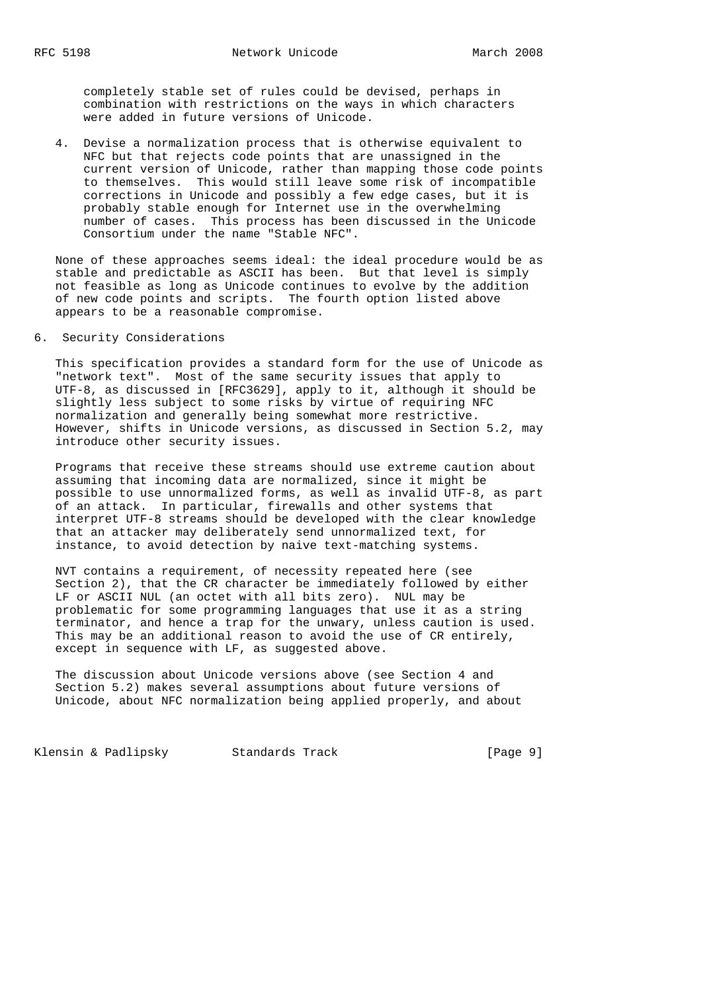completely stable set of rules could be devised, perhaps in combination with restrictions on the ways in which characters were added in future versions of Unicode.

 4. Devise a normalization process that is otherwise equivalent to NFC but that rejects code points that are unassigned in the current version of Unicode, rather than mapping those code points to themselves. This would still leave some risk of incompatible corrections in Unicode and possibly a few edge cases, but it is probably stable enough for Internet use in the overwhelming number of cases. This process has been discussed in the Unicode Consortium under the name "Stable NFC".

 None of these approaches seems ideal: the ideal procedure would be as stable and predictable as ASCII has been. But that level is simply not feasible as long as Unicode continues to evolve by the addition of new code points and scripts. The fourth option listed above appears to be a reasonable compromise.

### 6. Security Considerations

 This specification provides a standard form for the use of Unicode as "network text". Most of the same security issues that apply to UTF-8, as discussed in [RFC3629], apply to it, although it should be slightly less subject to some risks by virtue of requiring NFC normalization and generally being somewhat more restrictive. However, shifts in Unicode versions, as discussed in Section 5.2, may introduce other security issues.

 Programs that receive these streams should use extreme caution about assuming that incoming data are normalized, since it might be possible to use unnormalized forms, as well as invalid UTF-8, as part of an attack. In particular, firewalls and other systems that interpret UTF-8 streams should be developed with the clear knowledge that an attacker may deliberately send unnormalized text, for instance, to avoid detection by naive text-matching systems.

 NVT contains a requirement, of necessity repeated here (see Section 2), that the CR character be immediately followed by either LF or ASCII NUL (an octet with all bits zero). NUL may be problematic for some programming languages that use it as a string terminator, and hence a trap for the unwary, unless caution is used. This may be an additional reason to avoid the use of CR entirely, except in sequence with LF, as suggested above.

 The discussion about Unicode versions above (see Section 4 and Section 5.2) makes several assumptions about future versions of Unicode, about NFC normalization being applied properly, and about

Klensin & Padlipsky Standards Track [Page 9]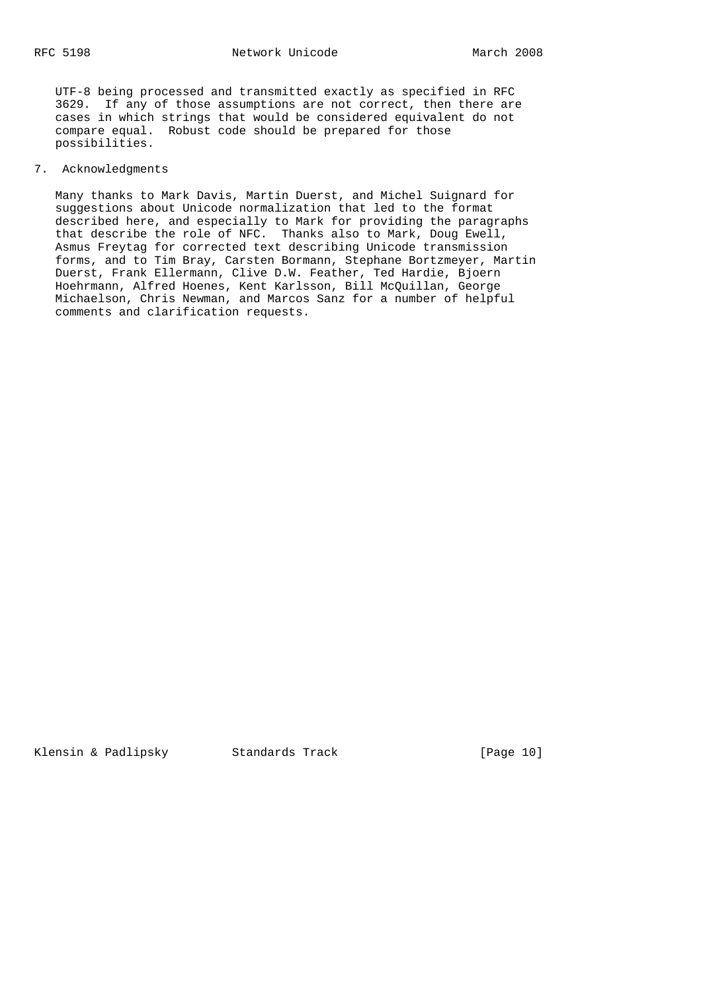UTF-8 being processed and transmitted exactly as specified in RFC 3629. If any of those assumptions are not correct, then there are cases in which strings that would be considered equivalent do not compare equal. Robust code should be prepared for those possibilities.

### 7. Acknowledgments

 Many thanks to Mark Davis, Martin Duerst, and Michel Suignard for suggestions about Unicode normalization that led to the format described here, and especially to Mark for providing the paragraphs that describe the role of NFC. Thanks also to Mark, Doug Ewell, Asmus Freytag for corrected text describing Unicode transmission forms, and to Tim Bray, Carsten Bormann, Stephane Bortzmeyer, Martin Duerst, Frank Ellermann, Clive D.W. Feather, Ted Hardie, Bjoern Hoehrmann, Alfred Hoenes, Kent Karlsson, Bill McQuillan, George Michaelson, Chris Newman, and Marcos Sanz for a number of helpful comments and clarification requests.

Klensin & Padlipsky Standards Track [Page 10]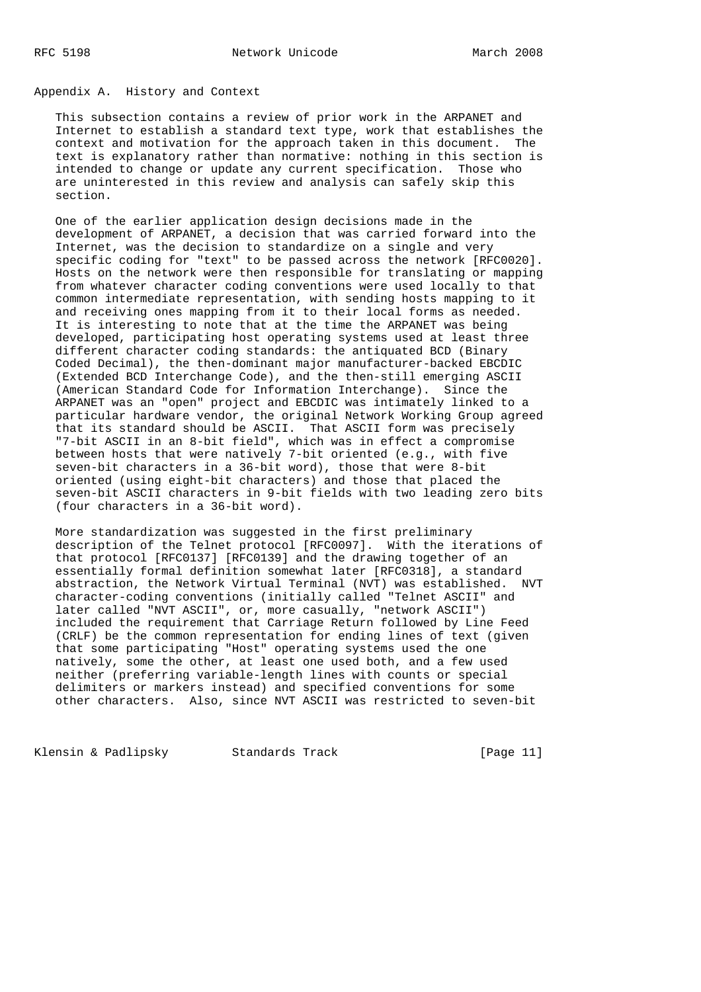### Appendix A. History and Context

 This subsection contains a review of prior work in the ARPANET and Internet to establish a standard text type, work that establishes the context and motivation for the approach taken in this document. The text is explanatory rather than normative: nothing in this section is intended to change or update any current specification. Those who are uninterested in this review and analysis can safely skip this section.

 One of the earlier application design decisions made in the development of ARPANET, a decision that was carried forward into the Internet, was the decision to standardize on a single and very specific coding for "text" to be passed across the network [RFC0020]. Hosts on the network were then responsible for translating or mapping from whatever character coding conventions were used locally to that common intermediate representation, with sending hosts mapping to it and receiving ones mapping from it to their local forms as needed. It is interesting to note that at the time the ARPANET was being developed, participating host operating systems used at least three different character coding standards: the antiquated BCD (Binary Coded Decimal), the then-dominant major manufacturer-backed EBCDIC (Extended BCD Interchange Code), and the then-still emerging ASCII (American Standard Code for Information Interchange). Since the ARPANET was an "open" project and EBCDIC was intimately linked to a particular hardware vendor, the original Network Working Group agreed that its standard should be ASCII. That ASCII form was precisely "7-bit ASCII in an 8-bit field", which was in effect a compromise between hosts that were natively 7-bit oriented (e.g., with five seven-bit characters in a 36-bit word), those that were 8-bit oriented (using eight-bit characters) and those that placed the seven-bit ASCII characters in 9-bit fields with two leading zero bits (four characters in a 36-bit word).

 More standardization was suggested in the first preliminary description of the Telnet protocol [RFC0097]. With the iterations of that protocol [RFC0137] [RFC0139] and the drawing together of an essentially formal definition somewhat later [RFC0318], a standard abstraction, the Network Virtual Terminal (NVT) was established. NVT character-coding conventions (initially called "Telnet ASCII" and later called "NVT ASCII", or, more casually, "network ASCII") included the requirement that Carriage Return followed by Line Feed (CRLF) be the common representation for ending lines of text (given that some participating "Host" operating systems used the one natively, some the other, at least one used both, and a few used neither (preferring variable-length lines with counts or special delimiters or markers instead) and specified conventions for some other characters. Also, since NVT ASCII was restricted to seven-bit

Klensin & Padlipsky Standards Track [Page 11]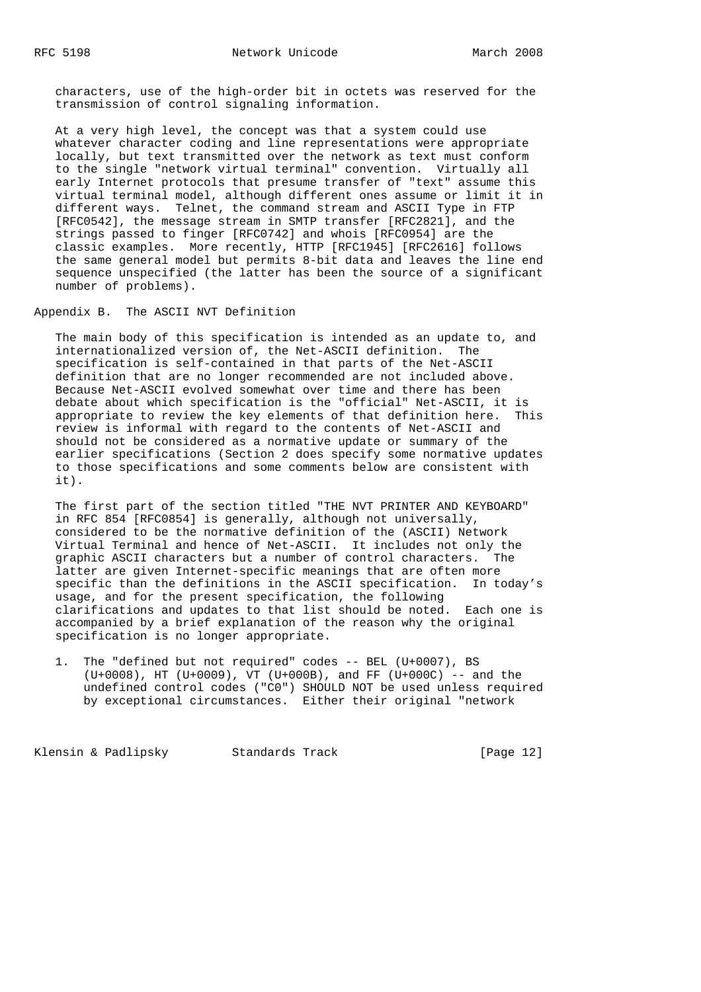characters, use of the high-order bit in octets was reserved for the transmission of control signaling information.

 At a very high level, the concept was that a system could use whatever character coding and line representations were appropriate locally, but text transmitted over the network as text must conform to the single "network virtual terminal" convention. Virtually all early Internet protocols that presume transfer of "text" assume this virtual terminal model, although different ones assume or limit it in different ways. Telnet, the command stream and ASCII Type in FTP [RFC0542], the message stream in SMTP transfer [RFC2821], and the strings passed to finger [RFC0742] and whois [RFC0954] are the classic examples. More recently, HTTP [RFC1945] [RFC2616] follows the same general model but permits 8-bit data and leaves the line end sequence unspecified (the latter has been the source of a significant number of problems).

Appendix B. The ASCII NVT Definition

 The main body of this specification is intended as an update to, and internationalized version of, the Net-ASCII definition. The specification is self-contained in that parts of the Net-ASCII definition that are no longer recommended are not included above. Because Net-ASCII evolved somewhat over time and there has been debate about which specification is the "official" Net-ASCII, it is appropriate to review the key elements of that definition here. This review is informal with regard to the contents of Net-ASCII and should not be considered as a normative update or summary of the earlier specifications (Section 2 does specify some normative updates to those specifications and some comments below are consistent with it).

 The first part of the section titled "THE NVT PRINTER AND KEYBOARD" in RFC 854 [RFC0854] is generally, although not universally, considered to be the normative definition of the (ASCII) Network Virtual Terminal and hence of Net-ASCII. It includes not only the graphic ASCII characters but a number of control characters. The latter are given Internet-specific meanings that are often more specific than the definitions in the ASCII specification. In today's usage, and for the present specification, the following clarifications and updates to that list should be noted. Each one is accompanied by a brief explanation of the reason why the original specification is no longer appropriate.

 1. The "defined but not required" codes -- BEL (U+0007), BS (U+0008), HT (U+0009), VT (U+000B), and FF (U+000C) -- and the undefined control codes ("C0") SHOULD NOT be used unless required by exceptional circumstances. Either their original "network

Klensin & Padlipsky Standards Track [Page 12]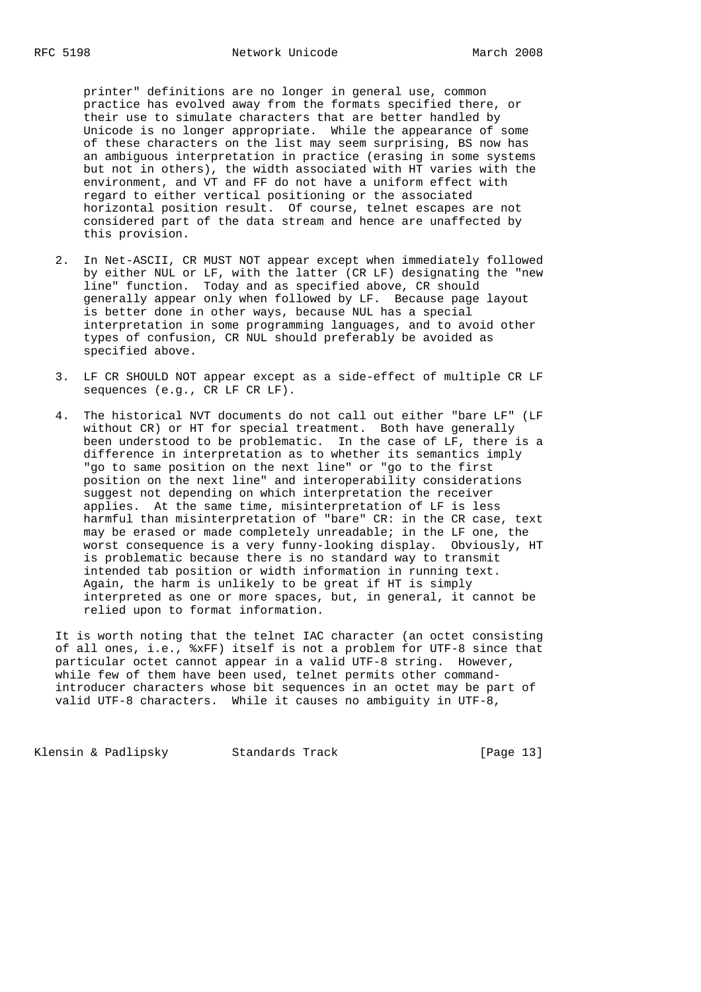printer" definitions are no longer in general use, common practice has evolved away from the formats specified there, or their use to simulate characters that are better handled by Unicode is no longer appropriate. While the appearance of some of these characters on the list may seem surprising, BS now has an ambiguous interpretation in practice (erasing in some systems but not in others), the width associated with HT varies with the environment, and VT and FF do not have a uniform effect with regard to either vertical positioning or the associated horizontal position result. Of course, telnet escapes are not considered part of the data stream and hence are unaffected by this provision.

- 2. In Net-ASCII, CR MUST NOT appear except when immediately followed by either NUL or LF, with the latter (CR LF) designating the "new line" function. Today and as specified above, CR should generally appear only when followed by LF. Because page layout is better done in other ways, because NUL has a special interpretation in some programming languages, and to avoid other types of confusion, CR NUL should preferably be avoided as specified above.
- 3. LF CR SHOULD NOT appear except as a side-effect of multiple CR LF sequences (e.g., CR LF CR LF).
- 4. The historical NVT documents do not call out either "bare LF" (LF without CR) or HT for special treatment. Both have generally been understood to be problematic. In the case of LF, there is a difference in interpretation as to whether its semantics imply "go to same position on the next line" or "go to the first position on the next line" and interoperability considerations suggest not depending on which interpretation the receiver applies. At the same time, misinterpretation of LF is less harmful than misinterpretation of "bare" CR: in the CR case, text may be erased or made completely unreadable; in the LF one, the worst consequence is a very funny-looking display. Obviously, HT is problematic because there is no standard way to transmit intended tab position or width information in running text. Again, the harm is unlikely to be great if HT is simply interpreted as one or more spaces, but, in general, it cannot be relied upon to format information.

 It is worth noting that the telnet IAC character (an octet consisting of all ones, i.e., %xFF) itself is not a problem for UTF-8 since that particular octet cannot appear in a valid UTF-8 string. However, while few of them have been used, telnet permits other command introducer characters whose bit sequences in an octet may be part of valid UTF-8 characters. While it causes no ambiguity in UTF-8,

Klensin & Padlipsky Standards Track [Page 13]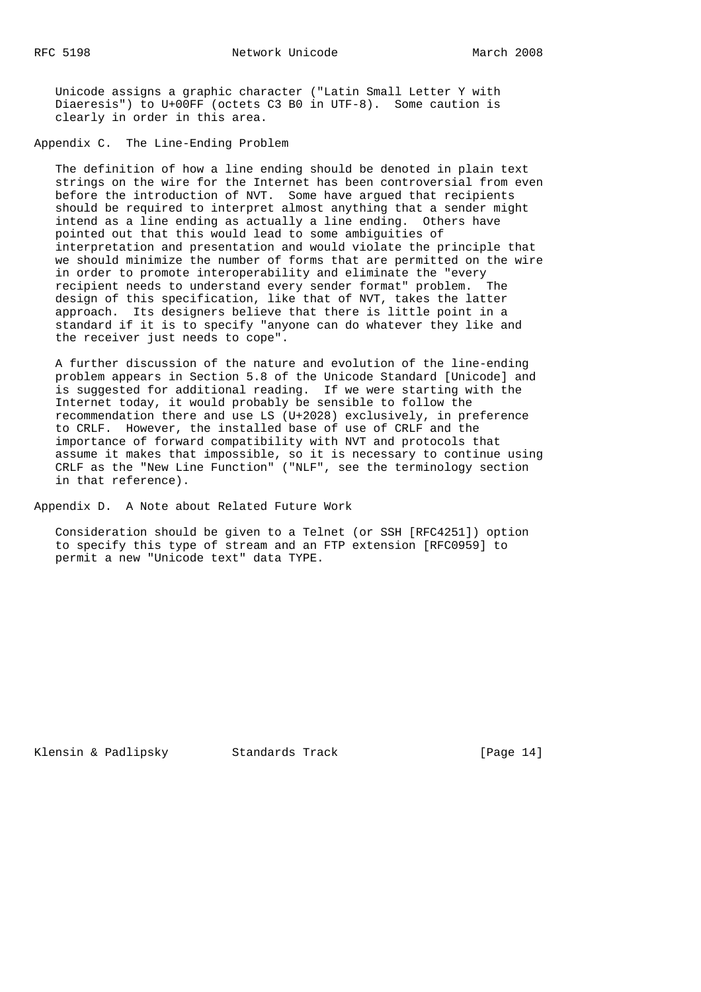Unicode assigns a graphic character ("Latin Small Letter Y with Diaeresis") to U+00FF (octets C3 B0 in UTF-8). Some caution is clearly in order in this area.

Appendix C. The Line-Ending Problem

 The definition of how a line ending should be denoted in plain text strings on the wire for the Internet has been controversial from even before the introduction of NVT. Some have argued that recipients should be required to interpret almost anything that a sender might intend as a line ending as actually a line ending. Others have pointed out that this would lead to some ambiguities of interpretation and presentation and would violate the principle that we should minimize the number of forms that are permitted on the wire in order to promote interoperability and eliminate the "every recipient needs to understand every sender format" problem. The design of this specification, like that of NVT, takes the latter approach. Its designers believe that there is little point in a standard if it is to specify "anyone can do whatever they like and the receiver just needs to cope".

 A further discussion of the nature and evolution of the line-ending problem appears in Section 5.8 of the Unicode Standard [Unicode] and is suggested for additional reading. If we were starting with the Internet today, it would probably be sensible to follow the recommendation there and use LS (U+2028) exclusively, in preference to CRLF. However, the installed base of use of CRLF and the importance of forward compatibility with NVT and protocols that assume it makes that impossible, so it is necessary to continue using CRLF as the "New Line Function" ("NLF", see the terminology section in that reference).

Appendix D. A Note about Related Future Work

 Consideration should be given to a Telnet (or SSH [RFC4251]) option to specify this type of stream and an FTP extension [RFC0959] to permit a new "Unicode text" data TYPE.

Klensin & Padlipsky Standards Track [Page 14]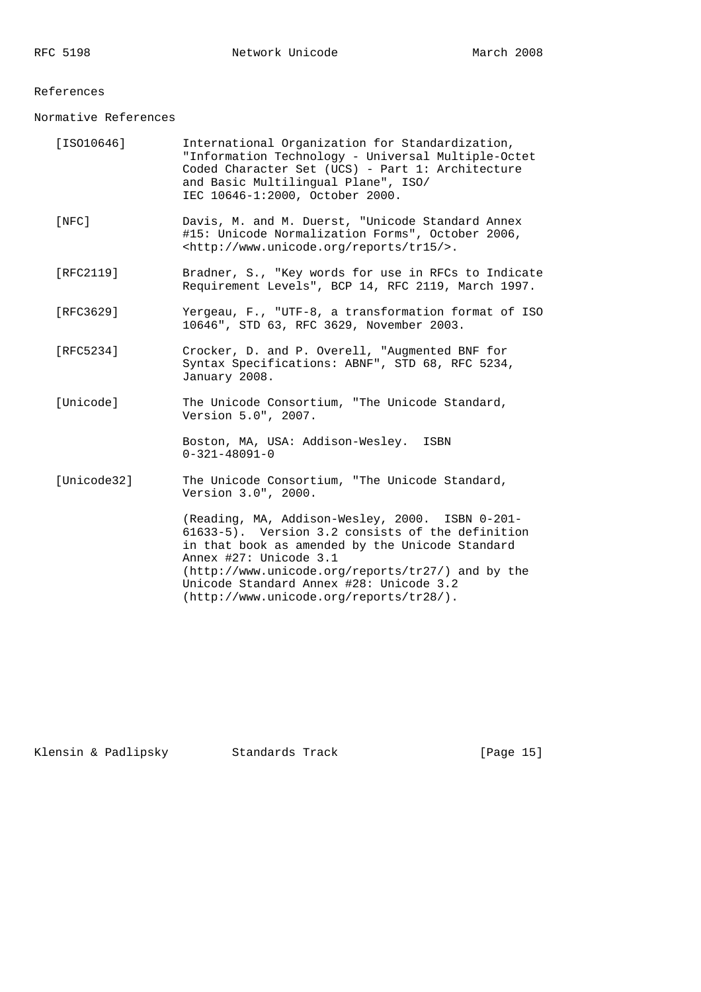## References

Normative References

| [ISO10646]  | International Organization for Standardization,<br>"Information Technology - Universal Multiple-Octet<br>Coded Character Set (UCS) - Part 1: Architecture<br>and Basic Multilingual Plane", ISO/<br>IEC 10646-1:2000, October 2000.                                                                                           |
|-------------|-------------------------------------------------------------------------------------------------------------------------------------------------------------------------------------------------------------------------------------------------------------------------------------------------------------------------------|
| $[$ NFC $]$ | Davis, M. and M. Duerst, "Unicode Standard Annex<br>#15: Unicode Normalization Forms", October 2006,<br><http: reports="" tr15="" www.unicode.org=""></http:> .                                                                                                                                                               |
| [RFC2119]   | Bradner, S., "Key words for use in RFCs to Indicate<br>Requirement Levels", BCP 14, RFC 2119, March 1997.                                                                                                                                                                                                                     |
| [RFC3629]   | Yergeau, F., "UTF-8, a transformation format of ISO<br>10646", STD 63, RFC 3629, November 2003.                                                                                                                                                                                                                               |
| [RFC5234]   | Crocker, D. and P. Overell, "Augmented BNF for<br>Syntax Specifications: ABNF", STD 68, RFC 5234,<br>January 2008.                                                                                                                                                                                                            |
| [Unicode]   | The Unicode Consortium, "The Unicode Standard,<br>Version 5.0", 2007.                                                                                                                                                                                                                                                         |
|             | Boston, MA, USA: Addison-Wesley.<br>ISBN<br>$0 - 321 - 48091 - 0$                                                                                                                                                                                                                                                             |
| [Unicode32] | The Unicode Consortium, "The Unicode Standard,<br>Version 3.0", 2000.                                                                                                                                                                                                                                                         |
|             | (Reading, MA, Addison-Wesley, 2000. ISBN 0-201-<br>61633-5). Version 3.2 consists of the definition<br>in that book as amended by the Unicode Standard<br>Annex #27: Unicode 3.1<br>(http://www.unicode.org/reports/tr27/) and by the<br>Unicode Standard Annex #28: Unicode 3.2<br>$(http://www.unicode.org/reports/tr28/).$ |

Klensin & Padlipsky Standards Track [Page 15]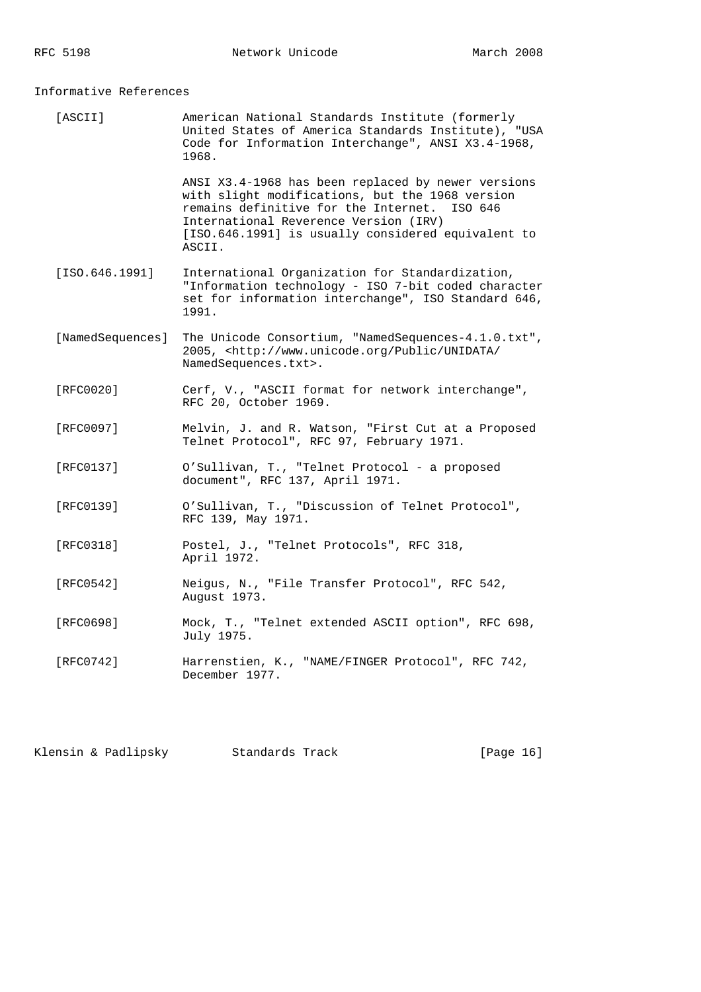Informative References

| [ASCII]          | American National Standards Institute (formerly<br>United States of America Standards Institute), "USA<br>Code for Information Interchange", ANSI X3.4-1968,<br>1968.                                                                                          |
|------------------|----------------------------------------------------------------------------------------------------------------------------------------------------------------------------------------------------------------------------------------------------------------|
|                  | ANSI X3.4-1968 has been replaced by newer versions<br>with slight modifications, but the 1968 version<br>remains definitive for the Internet. ISO 646<br>International Reverence Version (IRV)<br>[ISO.646.1991] is usually considered equivalent to<br>ASCII. |
| [ISO.646.1991]   | International Organization for Standardization,<br>"Information technology - ISO 7-bit coded character<br>set for information interchange", ISO Standard 646,<br>1991.                                                                                         |
| [NamedSequences] | The Unicode Consortium, "NamedSequences-4.1.0.txt",<br>2005, <http: <br="" public="" unidata="" www.unicode.org="">NamedSequences.txt&gt;.</http:>                                                                                                             |
| [RFC0020]        | Cerf, V., "ASCII format for network interchange",<br>RFC 20, October 1969.                                                                                                                                                                                     |
| [RFC0097]        | Melvin, J. and R. Watson, "First Cut at a Proposed<br>Telnet Protocol", RFC 97, February 1971.                                                                                                                                                                 |
| [RFC0137]        | O'Sullivan, T., "Telnet Protocol - a proposed<br>document", RFC 137, April 1971.                                                                                                                                                                               |
| [RFC0139]        | O'Sullivan, T., "Discussion of Telnet Protocol",<br>RFC 139, May 1971.                                                                                                                                                                                         |
| [RFC0318]        | Postel, J., "Telnet Protocols", RFC 318,<br>April 1972.                                                                                                                                                                                                        |
| [RFC0542]        | Neigus, N., "File Transfer Protocol", RFC 542,<br>August 1973.                                                                                                                                                                                                 |
| [RFC0698]        | Mock, T., "Telnet extended ASCII option", RFC 698,<br>July 1975.                                                                                                                                                                                               |
| [RFC0742]        | Harrenstien, K., "NAME/FINGER Protocol", RFC 742,<br>December 1977.                                                                                                                                                                                            |
|                  |                                                                                                                                                                                                                                                                |

Klensin & Padlipsky Standards Track [Page 16]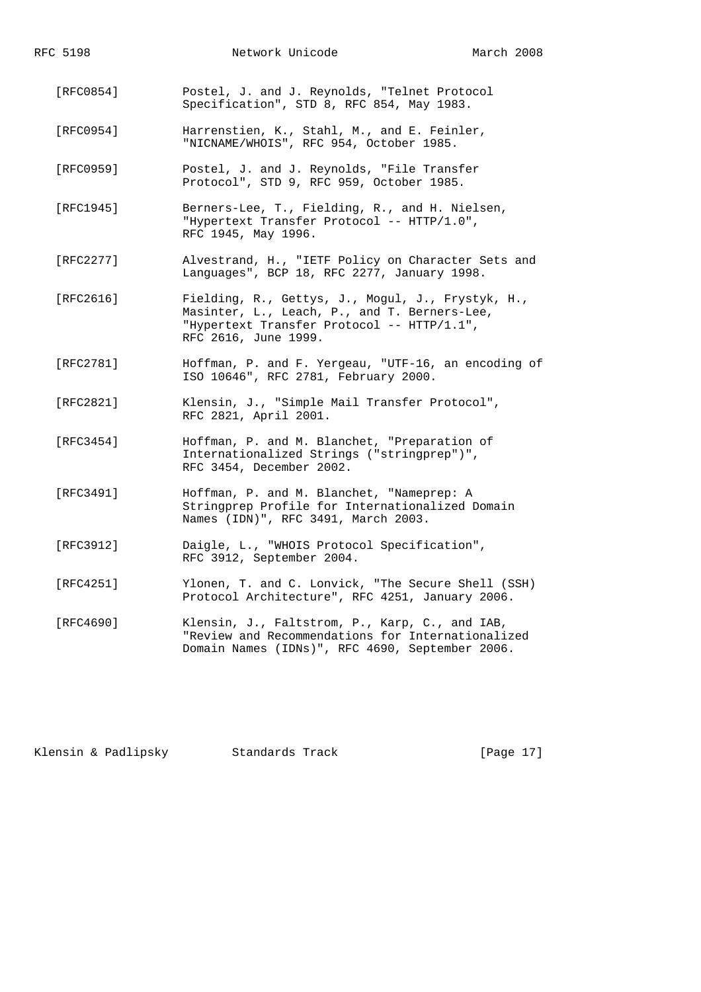| RFC 5198  | Network Unicode                                                                                                                                                         | March 2008 |
|-----------|-------------------------------------------------------------------------------------------------------------------------------------------------------------------------|------------|
| [RFC0854] | Postel, J. and J. Reynolds, "Telnet Protocol<br>Specification", STD 8, RFC 854, May 1983.                                                                               |            |
| [RFC0954] | Harrenstien, K., Stahl, M., and E. Feinler,<br>"NICNAME/WHOIS", RFC 954, October 1985.                                                                                  |            |
| [RFC0959] | Postel, J. and J. Reynolds, "File Transfer<br>Protocol", STD 9, RFC 959, October 1985.                                                                                  |            |
| [RFC1945] | Berners-Lee, T., Fielding, R., and H. Nielsen,<br>"Hypertext Transfer Protocol -- HTTP/1.0",<br>RFC 1945, May 1996.                                                     |            |
| [RFC2277] | Alvestrand, H., "IETF Policy on Character Sets and<br>Languages", BCP 18, RFC 2277, January 1998.                                                                       |            |
| [RFC2616] | Fielding, R., Gettys, J., Mogul, J., Frystyk, H.,<br>Masinter, L., Leach, P., and T. Berners-Lee,<br>"Hypertext Transfer Protocol -- HTTP/1.1",<br>RFC 2616, June 1999. |            |
| [RFC2781] | Hoffman, P. and F. Yergeau, "UTF-16, an encoding of<br>ISO 10646", RFC 2781, February 2000.                                                                             |            |
| [RFC2821] | Klensin, J., "Simple Mail Transfer Protocol",<br>RFC 2821, April 2001.                                                                                                  |            |
| [RFC3454] | Hoffman, P. and M. Blanchet, "Preparation of<br>Internationalized Strings ("stringprep")",<br>RFC 3454, December 2002.                                                  |            |
| [RFC3491] | Hoffman, P. and M. Blanchet, "Nameprep: A<br>Stringprep Profile for Internationalized Domain<br>Names (IDN)", RFC 3491, March 2003.                                     |            |
| [RFC3912] | Daigle, L., "WHOIS Protocol Specification",<br>RFC 3912, September 2004.                                                                                                |            |
| [RFC4251] | Ylonen, T. and C. Lonvick, "The Secure Shell (SSH)<br>Protocol Architecture", RFC 4251, January 2006.                                                                   |            |
| [RFC4690] | Klensin, J., Faltstrom, P., Karp, C., and IAB,<br>"Review and Recommendations for Internationalized<br>Domain Names (IDNs)", RFC 4690, September 2006.                  |            |

Klensin & Padlipsky Standards Track [Page 17]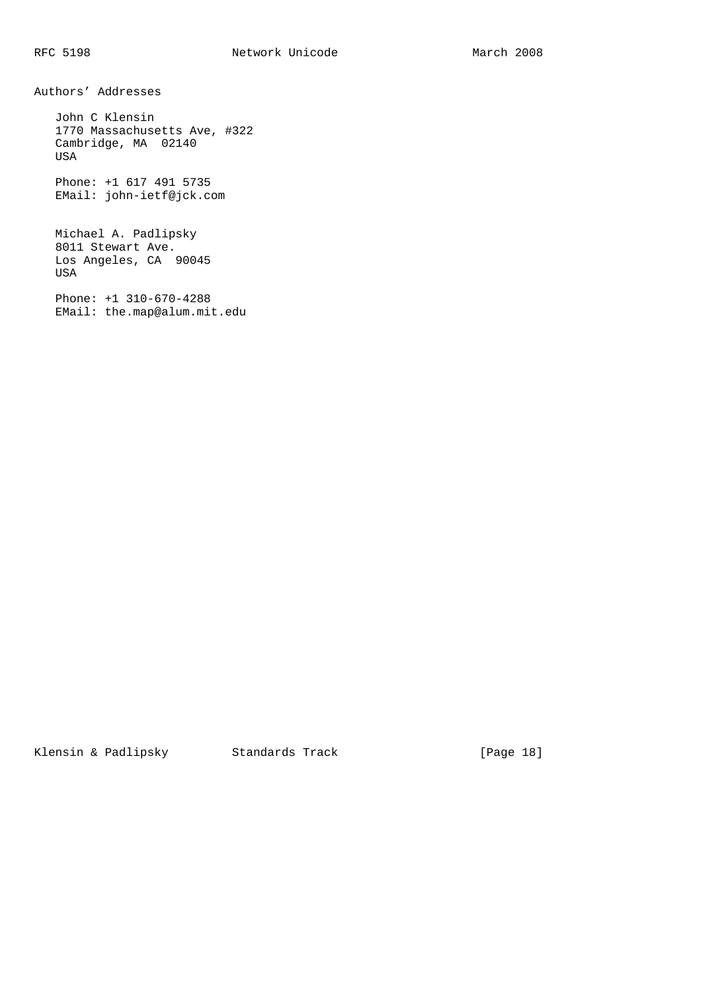Authors' Addresses John C Klensin

 1770 Massachusetts Ave, #322 Cambridge, MA 02140 USA

 Phone: +1 617 491 5735 EMail: john-ietf@jck.com

 Michael A. Padlipsky 8011 Stewart Ave. Los Angeles, CA 90045 USA

 Phone: +1 310-670-4288 EMail: the.map@alum.mit.edu

Klensin & Padlipsky Standards Track [Page 18]